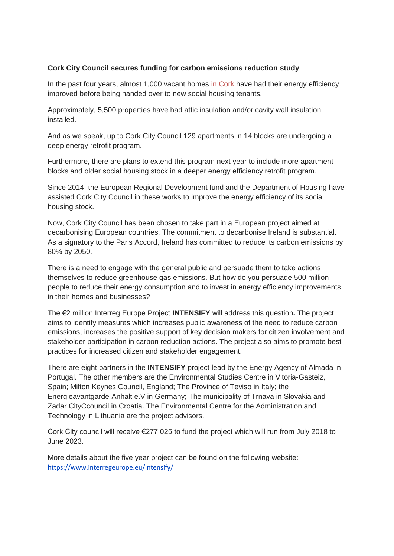## **Cork City Council secures funding for carbon emissions reduction study**

In the past four years, almost 1,000 vacant homes in Cork have had their energy efficiency improved before being handed over to new social housing tenants.

Approximately, 5,500 properties have had attic insulation and/or cavity wall insulation installed.

And as we speak, up to Cork City Council 129 apartments in 14 blocks are undergoing a deep energy retrofit program.

Furthermore, there are plans to extend this program next year to include more apartment blocks and older social housing stock in a deeper energy efficiency retrofit program.

Since 2014, the European Regional Development fund and the Department of Housing have assisted Cork City Council in these works to improve the energy efficiency of its social housing stock.

Now, Cork City Council has been chosen to take part in a European project aimed at decarbonising European countries. The commitment to decarbonise Ireland is substantial. As a signatory to the Paris Accord, Ireland has committed to reduce its carbon emissions by 80% by 2050.

There is a need to engage with the general public and persuade them to take actions themselves to reduce greenhouse gas emissions. But how do you persuade 500 million people to reduce their energy consumption and to invest in energy efficiency improvements in their homes and businesses?

The €2 million Interreg Europe Project **INTENSIFY** will address this question**.** The project aims to identify measures which increases public awareness of the need to reduce carbon emissions, increases the positive support of key decision makers for citizen involvement and stakeholder participation in carbon reduction actions. The project also aims to promote best practices for increased citizen and stakeholder engagement.

There are eight partners in the **INTENSIFY** project lead by the Energy Agency of Almada in Portugal. The other members are the Environmental Studies Centre in Vitoria-Gasteiz, Spain; Milton Keynes Council, England; The Province of Teviso in Italy; the Energieavantgarde-Anhalt e.V in Germany; The municipality of Trnava in Slovakia and Zadar CityCcouncil in Croatia. The Environmental Centre for the Administration and Technology in Lithuania are the project advisors.

Cork City council will receive €277,025 to fund the project which will run from July 2018 to June 2023.

More details about the five year project can be found on the following website: <https://www.interregeurope.eu/intensify/>